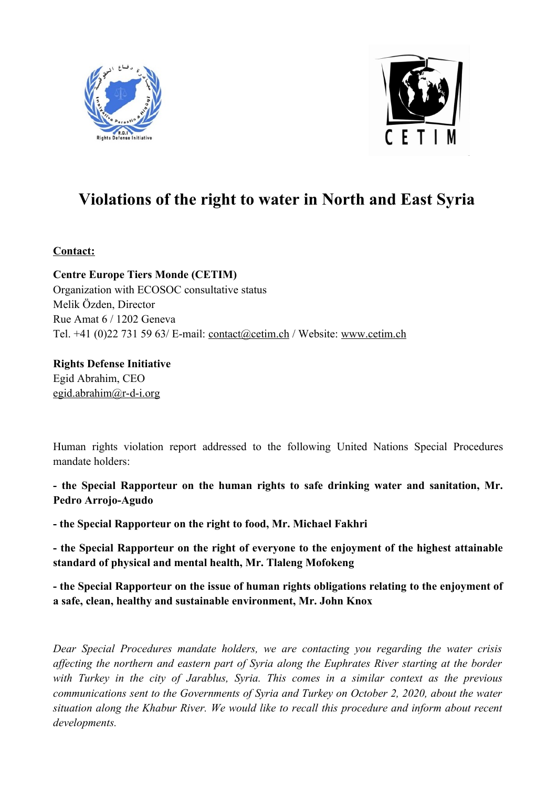



# **Violations of the right to water in North and East Syria**

# **Contact:**

**Centre Europe Tiers Monde (CETIM)** Organization with ECOSOC consultative status Melik Özden, Director Rue Amat 6 / 1202 Geneva Tel. +41 (0)22 731 59 63/ E-mail: [contact@cetim.ch](mailto:contact@cetim.ch) / Website: [www.cetim.ch](http://www.cetim.ch/)

## **Rights Defense Initiative** Egid Abrahim, CEO

[egid.abrahim@r-d-i.org](mailto:egid.abrahim@r-d-i.org)

Human rights violation report addressed to the following United Nations Special Procedures mandate holders:

**- the Special Rapporteur on the human rights to safe drinking water and sanitation, Mr. Pedro Arrojo-Agudo** 

**- the Special Rapporteur on the right to food, Mr. Michael Fakhri** 

**- the Special Rapporteur on the right of everyone to the enjoyment of the highest attainable standard of physical and mental health, Mr. Tlaleng Mofokeng**

**- the Special Rapporteur on the issue of human rights obligations relating to the enjoyment of a safe, clean, healthy and sustainable environment, Mr. John Knox**

*Dear Special Procedures mandate holders, we are contacting you regarding the water crisis affecting the northern and eastern part of Syria along the Euphrates River starting at the border with Turkey in the city of Jarablus, Syria. This comes in a similar context as the previous communications sent to the Governments of Syria and Turkey on October 2, 2020, about the water situation along the Khabur River. We would like to recall this procedure and inform about recent developments.*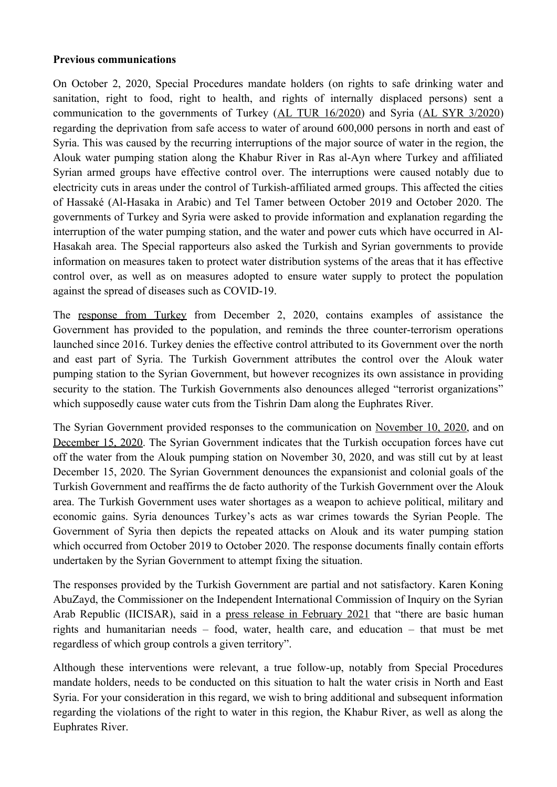#### **Previous communications**

On October 2, 2020, Special Procedures mandate holders (on rights to safe drinking water and sanitation, right to food, right to health, and rights of internally displaced persons) sent a communication to the governments of Turkey [\(AL TUR 16/2020](https://spcommreports.ohchr.org/TMResultsBase/DownLoadPublicCommunicationFile?gId=25571)) and Syria ([AL SYR 3/2020\)](https://spcommreports.ohchr.org/TMResultsBase/DownLoadPublicCommunicationFile?gId=25597) regarding the deprivation from safe access to water of around 600,000 persons in north and east of Syria. This was caused by the recurring interruptions of the major source of water in the region, the Alouk water pumping station along the Khabur River in Ras al-Ayn where Turkey and affiliated Syrian armed groups have effective control over. The interruptions were caused notably due to electricity cuts in areas under the control of Turkish-affiliated armed groups. This affected the cities of Hassaké (Al-Hasaka in Arabic) and Tel Tamer between October 2019 and October 2020. The governments of Turkey and Syria were asked to provide information and explanation regarding the interruption of the water pumping station, and the water and power cuts which have occurred in Al-Hasakah area. The Special rapporteurs also asked the Turkish and Syrian governments to provide information on measures taken to protect water distribution systems of the areas that it has effective control over, as well as on measures adopted to ensure water supply to protect the population against the spread of diseases such as COVID-19.

The [response from Turkey](https://spcommreports.ohchr.org/TMResultsBase/DownLoadFile?gId=35760) from December 2, 2020, contains examples of assistance the Government has provided to the population, and reminds the three counter-terrorism operations launched since 2016. Turkey denies the effective control attributed to its Government over the north and east part of Syria. The Turkish Government attributes the control over the Alouk water pumping station to the Syrian Government, but however recognizes its own assistance in providing security to the station. The Turkish Governments also denounces alleged "terrorist organizations" which supposedly cause water cuts from the Tishrin Dam along the Euphrates River.

The Syrian Government provided responses to the communication on [November 10, 2020,](https://spcommreports.ohchr.org/TMResultsBase/DownLoadFile?gId=35724) and on [December 15, 2020.](https://spcommreports.ohchr.org/TMResultsBase/DownLoadFile?gId=35806) The Syrian Government indicates that the Turkish occupation forces have cut off the water from the Alouk pumping station on November 30, 2020, and was still cut by at least December 15, 2020. The Syrian Government denounces the expansionist and colonial goals of the Turkish Government and reaffirms the de facto authority of the Turkish Government over the Alouk area. The Turkish Government uses water shortages as a weapon to achieve political, military and economic gains. Syria denounces Turkey's acts as war crimes towards the Syrian People. The Government of Syria then depicts the repeated attacks on Alouk and its water pumping station which occurred from October 2019 to October 2020. The response documents finally contain efforts undertaken by the Syrian Government to attempt fixing the situation.

The responses provided by the Turkish Government are partial and not satisfactory. Karen Koning AbuZayd, the Commissioner on the Independent International Commission of Inquiry on the Syrian Arab Republic (IICISAR), said in a [press release in February 2021](https://www.ohchr.org/EN/NewsEvents/Pages/DisplayNews.aspx?NewsID=26756&LangID=E) that "there are basic human rights and humanitarian needs – food, water, health care, and education – that must be met regardless of which group controls a given territory".

Although these interventions were relevant, a true follow-up, notably from Special Procedures mandate holders, needs to be conducted on this situation to halt the water crisis in North and East Syria. For your consideration in this regard, we wish to bring additional and subsequent information regarding the violations of the right to water in this region, the Khabur River, as well as along the Euphrates River.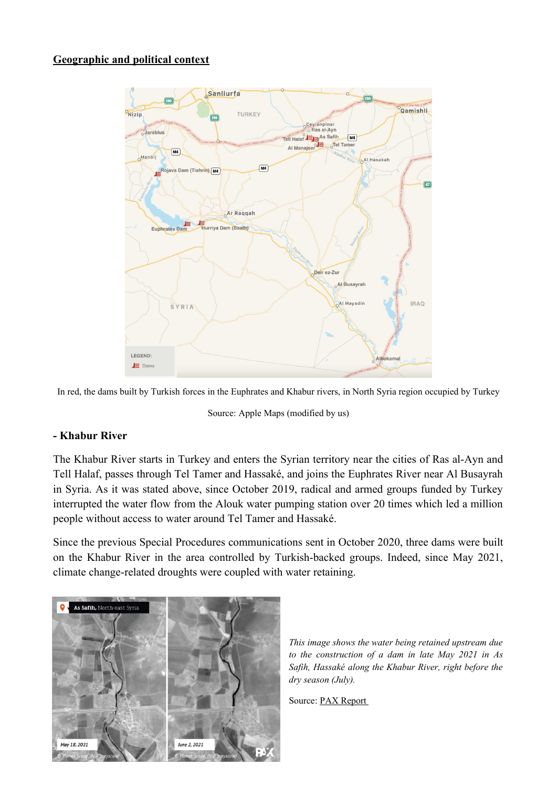## **Geographic and political context**



In red, the dams built by Turkish forces in the Euphrates and Khabur rivers, in North Syria region occupied by Turkey

Source: Apple Maps (modified by us)

## **- Khabur River**

The Khabur River starts in Turkey and enters the Syrian territory near the cities of Ras al-Ayn and Tell Halaf, passes through Tel Tamer and Hassaké, and joins the Euphrates River near Al Busayrah in Syria. As it was stated above, since October 2019, radical and armed groups funded by Turkey interrupted the water flow from the Alouk water pumping station over 20 times which led a million people without access to water around Tel Tamer and Hassaké.

Since the previous Special Procedures communications sent in October 2020, three dams were built on the Khabur River in the area controlled by Turkish-backed groups. Indeed, since May 2021, climate change-related droughts were coupled with water retaining.



*This image shows the water being retained upstream due to the construction of a dam in late May 2021 in As Safih, Hassaké along the Khabur River, right before the dry season (July).* 

Source: [PAX Report](https://paxforpeace.nl/news/blogs/killing-the-khabur-how-turkish-backed-armed-groups-blocked-northeast-syrias-water-lifeline)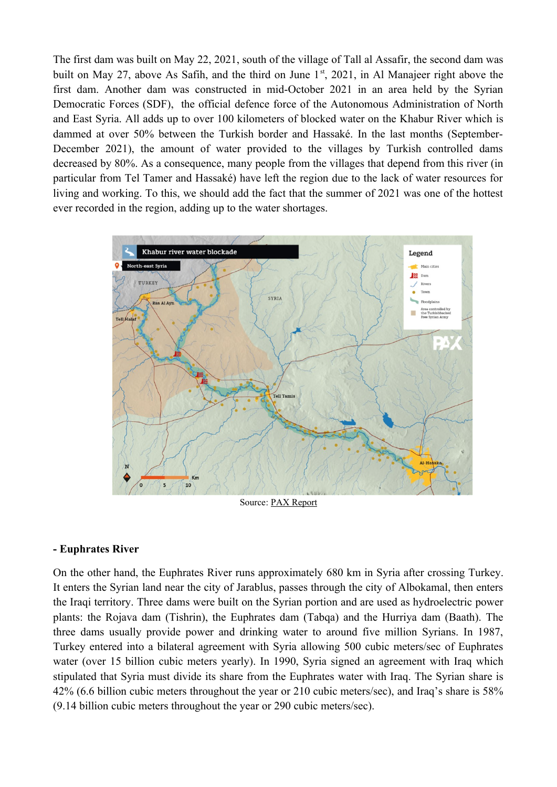The first dam was built on May 22, 2021, south of the village of Tall al Assafir, the second dam was built on May 27, above As Safih, and the third on June  $1<sup>st</sup>$ , 2021, in Al Manajeer right above the first dam. Another dam was constructed in mid-October 2021 in an area held by the Syrian Democratic Forces (SDF), the official defence force of the Autonomous Administration of North and East Syria. All adds up to over 100 kilometers of blocked water on the Khabur River which is dammed at over 50% between the Turkish border and Hassaké. In the last months (September-December 2021), the amount of water provided to the villages by Turkish controlled dams decreased by 80%. As a consequence, many people from the villages that depend from this river (in particular from Tel Tamer and Hassaké) have left the region due to the lack of water resources for living and working. To this, we should add the fact that the summer of 2021 was one of the hottest ever recorded in the region, adding up to the water shortages.



Source: [PAX Report](https://paxforpeace.nl/news/blogs/killing-the-khabur-how-turkish-backed-armed-groups-blocked-northeast-syrias-water-lifeline)

#### **- Euphrates River**

On the other hand, the Euphrates River runs approximately 680 km in Syria after crossing Turkey. It enters the Syrian land near the city of Jarablus, passes through the city of Albokamal, then enters the Iraqi territory. Three dams were built on the Syrian portion and are used as hydroelectric power plants: the Rojava dam (Tishrin), the Euphrates dam (Tabqa) and the Hurriya dam (Baath). The three dams usually provide power and drinking water to around five million Syrians. In 1987, Turkey entered into a bilateral agreement with Syria allowing 500 cubic meters/sec of Euphrates water (over 15 billion cubic meters yearly). In 1990, Syria signed an agreement with Iraq which stipulated that Syria must divide its share from the Euphrates water with Iraq. The Syrian share is 42% (6.6 billion cubic meters throughout the year or 210 cubic meters/sec), and Iraq's share is 58% (9.14 billion cubic meters throughout the year or 290 cubic meters/sec).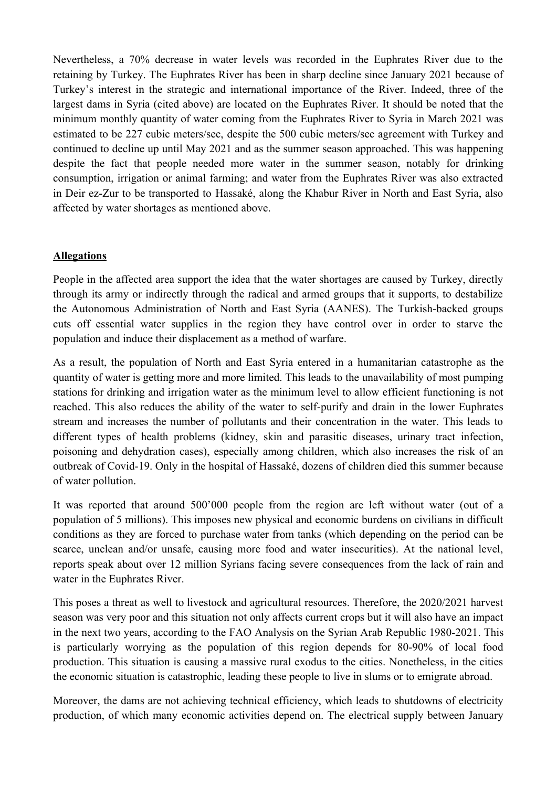Nevertheless, a 70% decrease in water levels was recorded in the Euphrates River due to the retaining by Turkey. The Euphrates River has been in sharp decline since January 2021 because of Turkey's interest in the strategic and international importance of the River. Indeed, three of the largest dams in Syria (cited above) are located on the Euphrates River. It should be noted that the minimum monthly quantity of water coming from the Euphrates River to Syria in March 2021 was estimated to be 227 cubic meters/sec, despite the 500 cubic meters/sec agreement with Turkey and continued to decline up until May 2021 and as the summer season approached. This was happening despite the fact that people needed more water in the summer season, notably for drinking consumption, irrigation or animal farming; and water from the Euphrates River was also extracted in Deir ez-Zur to be transported to Hassaké, along the Khabur River in North and East Syria, also affected by water shortages as mentioned above.

## **Allegations**

People in the affected area support the idea that the water shortages are caused by Turkey, directly through its army or indirectly through the radical and armed groups that it supports, to destabilize the Autonomous Administration of North and East Syria (AANES). The Turkish-backed groups cuts off essential water supplies in the region they have control over in order to starve the population and induce their displacement as a method of warfare.

As a result, the population of North and East Syria entered in a humanitarian catastrophe as the quantity of water is getting more and more limited. This leads to the unavailability of most pumping stations for drinking and irrigation water as the minimum level to allow efficient functioning is not reached. This also reduces the ability of the water to self-purify and drain in the lower Euphrates stream and increases the number of pollutants and their concentration in the water. This leads to different types of health problems (kidney, skin and parasitic diseases, urinary tract infection, poisoning and dehydration cases), especially among children, which also increases the risk of an outbreak of Covid-19. Only in the hospital of Hassaké, dozens of children died this summer because of water pollution.

It was reported that around 500'000 people from the region are left without water (out of a population of 5 millions). This imposes new physical and economic burdens on civilians in difficult conditions as they are forced to purchase water from tanks (which depending on the period can be scarce, unclean and/or unsafe, causing more food and water insecurities). At the national level, reports speak about over 12 million Syrians facing severe consequences from the lack of rain and water in the Euphrates River.

This poses a threat as well to livestock and agricultural resources. Therefore, the 2020/2021 harvest season was very poor and this situation not only affects current crops but it will also have an impact in the next two years, according to the [FAO Analysis on the Syrian Arab Republic 1980-2021](https://www.fao.org/emergencies/resources/documents/resources-detail/en/c/1444881/). This is particularly worrying as the population of this region depends for 80-90% of local food production. This situation is causing a massive rural exodus to the cities. Nonetheless, in the cities the economic situation is catastrophic, leading these people to live in slums or to emigrate abroad.

Moreover, the dams are not achieving technical efficiency, which leads to shutdowns of electricity production, of which many economic activities depend on. The electrical supply between January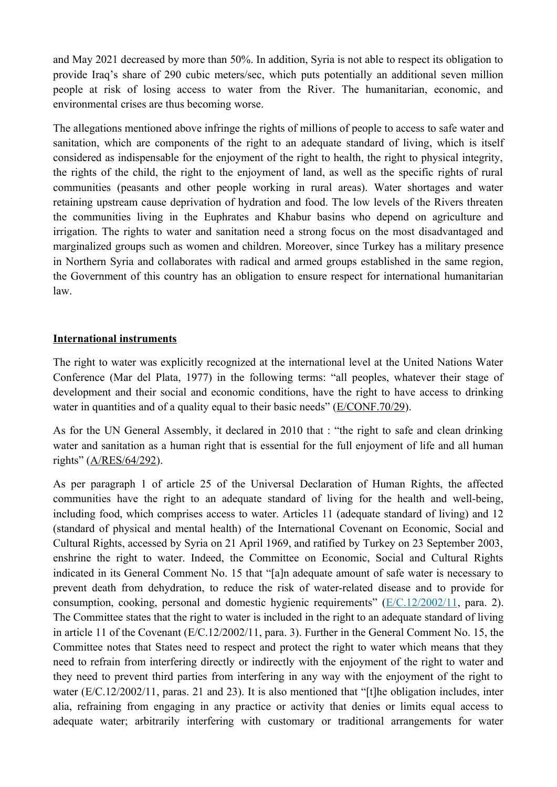and May 2021 decreased by more than 50%. In addition, Syria is not able to respect its obligation to provide Iraq's share of 290 cubic meters/sec, which puts potentially an additional seven million people at risk of losing access to water from the River. The humanitarian, economic, and environmental crises are thus becoming worse.

The allegations mentioned above infringe the rights of millions of people to access to safe water and sanitation, which are components of the right to an adequate standard of living, which is itself considered as indispensable for the enjoyment of the right to health, the right to physical integrity, the rights of the child, the right to the enjoyment of land, as well as the specific rights of rural communities (peasants and other people working in rural areas). Water shortages and water retaining upstream cause deprivation of hydration and food. The low levels of the Rivers threaten the communities living in the Euphrates and Khabur basins who depend on agriculture and irrigation. The rights to water and sanitation need a strong focus on the most disadvantaged and marginalized groups such as women and children. Moreover, since Turkey has a military presence in Northern Syria and collaborates with radical and armed groups established in the same region, the Government of this country has an obligation to ensure respect for international humanitarian law.

## **International instruments**

The right to water was explicitly recognized at the international level at the United Nations Water Conference (Mar del Plata, 1977) in the following terms: "all peoples, whatever their stage of development and their social and economic conditions, have the right to have access to drinking water in quantities and of a quality equal to their basic needs" ([E/CONF.70/29](https://digitallibrary.un.org/record/724642)).

As for the UN General Assembly, it declared in 2010 that : "the right to safe and clean drinking water and sanitation as a human right that is essential for the full enjoyment of life and all human rights" [\(A/RES/64/292](https://undocs.org/A/RES/64/292)).

As per paragraph 1 of article 25 of the Universal Declaration of Human Rights, the affected communities have the right to an adequate standard of living for the health and well-being, including food, which comprises access to water. Articles 11 (adequate standard of living) and 12 (standard of physical and mental health) of the International Covenant on Economic, Social and Cultural Rights, accessed by Syria on 21 April 1969, and ratified by Turkey on 23 September 2003, enshrine the right to water. Indeed, the Committee on Economic, Social and Cultural Rights indicated in its General Comment No. 15 that "[a]n adequate amount of safe water is necessary to prevent death from dehydration, to reduce the risk of water-related disease and to provide for consumption, cooking, personal and domestic hygienic requirements"  $(E/C.12/2002/11$  $(E/C.12/2002/11$ , para. 2). The Committee states that the right to water is included in the right to an adequate standard of living in article 11 of the Covenant ([E/C.12/2002/11](https://documents-dds-ny.un.org/doc/UNDOC/GEN/G03/402/29/PDF/G0340229.pdf?OpenElement), para. 3). Further in the General Comment No. 15, the Committee notes that States need to respect and protect the right to water which means that they need to refrain from interfering directly or indirectly with the enjoyment of the right to water and they need to prevent third parties from interfering in any way with the enjoyment of the right to water ([E/C.12/2002/11](https://documents-dds-ny.un.org/doc/UNDOC/GEN/G03/402/29/PDF/G0340229.pdf?OpenElement), paras. 21 and 23). It is also mentioned that "[t]he obligation includes, inter alia, refraining from engaging in any practice or activity that denies or limits equal access to adequate water; arbitrarily interfering with customary or traditional arrangements for water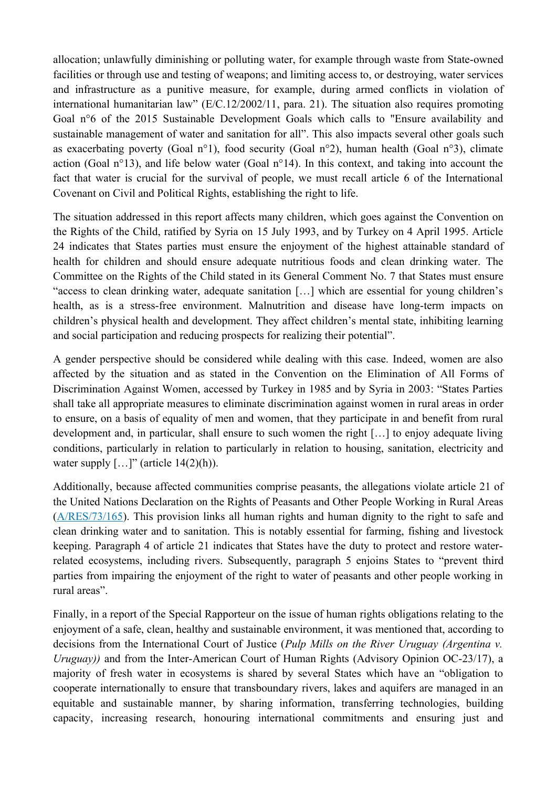allocation; unlawfully diminishing or polluting water, for example through waste from State-owned facilities or through use and testing of weapons; and limiting access to, or destroying, water services and infrastructure as a punitive measure, for example, during armed conflicts in violation of international humanitarian law" ([E/C.12/2002/11](https://documents-dds-ny.un.org/doc/UNDOC/GEN/G03/402/29/PDF/G0340229.pdf?OpenElement), para. 21). The situation also requires promoting Goal n°6 of the 2015 Sustainable Development Goals which calls to "Ensure availability and sustainable management of water and sanitation for all". This also impacts several other goals such as exacerbating poverty (Goal n°1), food security (Goal n°2), human health (Goal n°3), climate action (Goal n°13), and life below water (Goal n°14). In this context, and taking into account the fact that water is crucial for the survival of people, we must recall article 6 of the International Covenant on Civil and Political Rights, establishing the right to life.

The situation addressed in this report affects many children, which goes against the Convention on the Rights of the Child, ratified by Syria on 15 July 1993, and by Turkey on 4 April 1995. Article 24 indicates that States parties must ensure the enjoyment of the highest attainable standard of health for children and should ensure adequate nutritious foods and clean drinking water. The Committee on the Rights of the Child stated in its General Comment No. 7 that States must ensure "access to clean drinking water, adequate sanitation […] which are essential for young children's health, as is a stress-free environment. Malnutrition and disease have long-term impacts on children's physical health and development. They affect children's mental state, inhibiting learning and social participation and reducing prospects for realizing their potential".

A gender perspective should be considered while dealing with this case. Indeed, women are also affected by the situation and as stated in the Convention on the Elimination of All Forms of Discrimination Against Women, accessed by Turkey in 1985 and by Syria in 2003: "States Parties shall take all appropriate measures to eliminate discrimination against women in rural areas in order to ensure, on a basis of equality of men and women, that they participate in and benefit from rural development and, in particular, shall ensure to such women the right […] to enjoy adequate living conditions, particularly in relation to particularly in relation to housing, sanitation, electricity and water supply  $[\dots]$ " (article 14(2)(h)).

Additionally, because affected communities comprise peasants, the allegations violate article 21 of the United Nations Declaration on the Rights of Peasants and Other People Working in Rural Areas ([A/RES/73/165](https://undocs.org/A/RES/73/165)). This provision links all human rights and human dignity to the right to safe and clean drinking water and to sanitation. This is notably essential for farming, fishing and livestock keeping. Paragraph 4 of article 21 indicates that States have the duty to protect and restore waterrelated ecosystems, including rivers. Subsequently, paragraph 5 enjoins States to "prevent third parties from impairing the enjoyment of the right to water of peasants and other people working in rural areas".

Finally, in a report of the Special Rapporteur on the issue of human rights obligations relating to the enjoyment of a safe, clean, healthy and sustainable environment, it was mentioned that, according to decisions from the International Court of Justice (*Pulp Mills on the River Uruguay (Argentina v. Uruguay*)) and from the Inter-American Court of Human Rights (Advisory Opinion OC-23/17), a majority of fresh water in ecosystems is shared by several States which have an "obligation to cooperate internationally to ensure that transboundary rivers, lakes and aquifers are managed in an equitable and sustainable manner, by sharing information, transferring technologies, building capacity, increasing research, honouring international commitments and ensuring just and